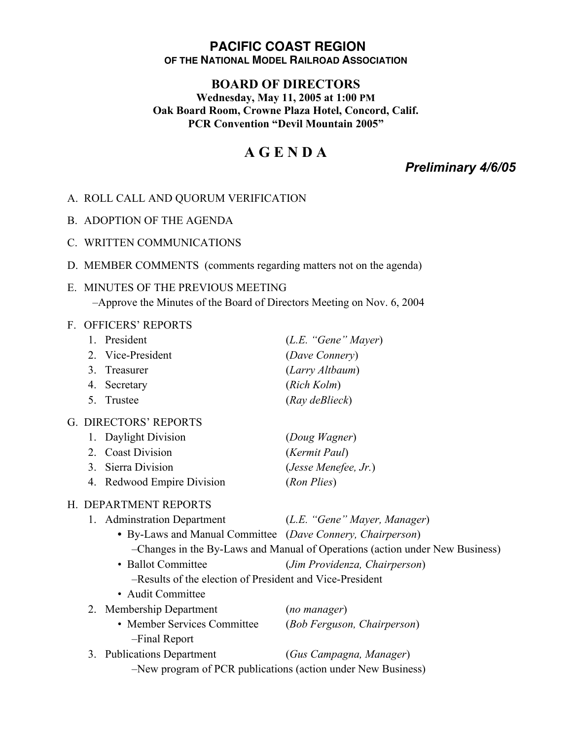### **PACIFIC COAST REGION OF THE NATIONAL MODEL RAILROAD ASSOCIATION**

# **BOARD OF DIRECTORS**

**Wednesday, May 11, 2005 at 1:00 PM Oak Board Room, Crowne Plaza Hotel, Concord, Calif. PCR Convention "Devil Mountain 2005"**

# **A G E N D A**

*Preliminary 4/6/05*

### A. ROLL CALL AND QUORUM VERIFICATION

- B. ADOPTION OF THE AGENDA
- C. WRITTEN COMMUNICATIONS
- D. MEMBER COMMENTS (comments regarding matters not on the agenda)

# E. MINUTES OF THE PREVIOUS MEETING –Approve the Minutes of the Board of Directors Meeting on Nov. 6, 2004

#### F. OFFICERS' REPORTS

|                                                              | 1.                                                                           | President                                                  | (L.E. "Gene" Mayer)           |  |
|--------------------------------------------------------------|------------------------------------------------------------------------------|------------------------------------------------------------|-------------------------------|--|
|                                                              | 2.                                                                           | Vice-President                                             | (Dave Connery)                |  |
|                                                              | 3 <sub>1</sub>                                                               | Treasurer                                                  | (Larry Altbaum)               |  |
|                                                              | 4.                                                                           | Secretary                                                  | (Rich Kolm)                   |  |
|                                                              | 5 <sub>1</sub>                                                               | Trustee                                                    | (Ray deBlieck)                |  |
| G. DIRECTORS' REPORTS                                        |                                                                              |                                                            |                               |  |
|                                                              | 1.                                                                           | Daylight Division                                          | (Doug Wagner)                 |  |
|                                                              |                                                                              | 2. Coast Division                                          | (Kermit Paul)                 |  |
|                                                              | 3 <sub>1</sub>                                                               | Sierra Division                                            | (Jesse Menefee, Jr.)          |  |
|                                                              |                                                                              | 4. Redwood Empire Division                                 | (Ron Plies)                   |  |
| H. DEPARTMENT REPORTS                                        |                                                                              |                                                            |                               |  |
|                                                              |                                                                              | 1. Adminstration Department                                | (L.E. "Gene" Mayer, Manager)  |  |
|                                                              |                                                                              | • By-Laws and Manual Committee (Dave Connery, Chairperson) |                               |  |
|                                                              | -Changes in the By-Laws and Manual of Operations (action under New Business) |                                                            |                               |  |
|                                                              |                                                                              | • Ballot Committee                                         | (Jim Providenza, Chairperson) |  |
|                                                              |                                                                              | -Results of the election of President and Vice-President   |                               |  |
|                                                              | • Audit Committee                                                            |                                                            |                               |  |
|                                                              |                                                                              | 2. Membership Department                                   | (no manager)                  |  |
|                                                              |                                                                              | • Member Services Committee<br>-Final Report               | (Bob Ferguson, Chairperson)   |  |
|                                                              | 3.                                                                           | <b>Publications Department</b>                             | (Gus Campagna, Manager)       |  |
| -New program of PCR publications (action under New Business) |                                                                              |                                                            |                               |  |
|                                                              |                                                                              |                                                            |                               |  |